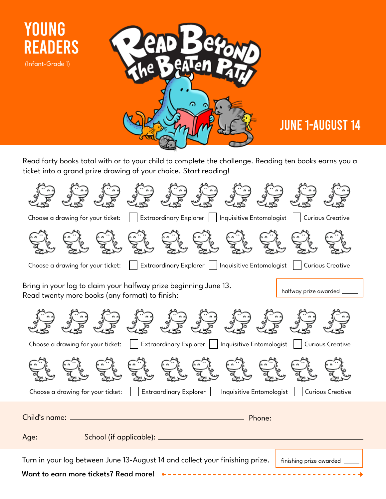

## JUNE 1-AUGUST 14

Read forty books total with or to your child to complete the challenge. Reading ten books earns you a ticket into a grand prize drawing of your choice. Start reading!